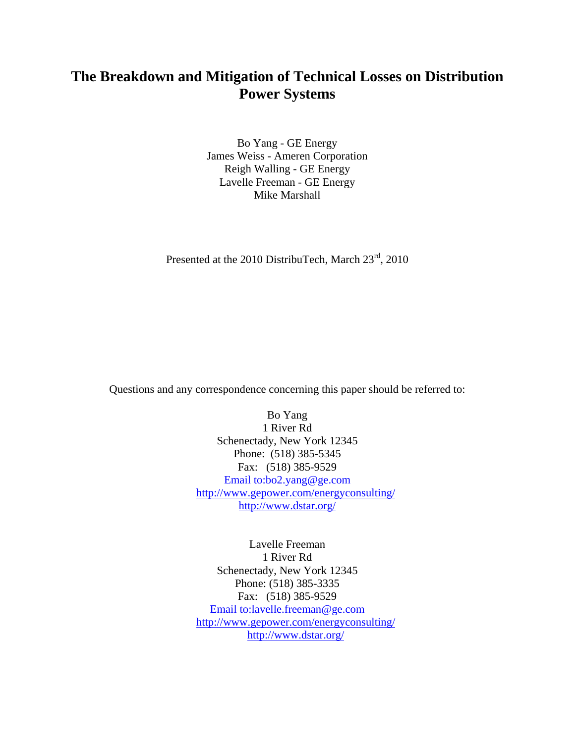# **The Breakdown and Mitigation of Technical Losses on Distribution Power Systems**

Bo Yang - GE Energy James Weiss - Ameren Corporation Reigh Walling - GE Energy Lavelle Freeman - GE Energy Mike Marshall

Presented at the 2010 DistribuTech, March  $23<sup>rd</sup>$ , 2010

Questions and any correspondence concerning this paper should be referred to:

Bo Yang 1 River Rd Schenectady, New York 12345 Phone: (518) 385-5345 Fax: (518) 385-9529 [Email to:bo2.yang@ge.com](mailto:bo2.yang@ge.com)  <http://www.gepower.com/energyconsulting/> <http://www.dstar.org/>

Lavelle Freeman 1 River Rd Schenectady, New York 12345 Phone: (518) 385-3335 Fax: (518) 385-9529 [Email to:lavelle.freeman@ge.com](mailto:bo2.yang@ge.com)  <http://www.gepower.com/energyconsulting/> <http://www.dstar.org/>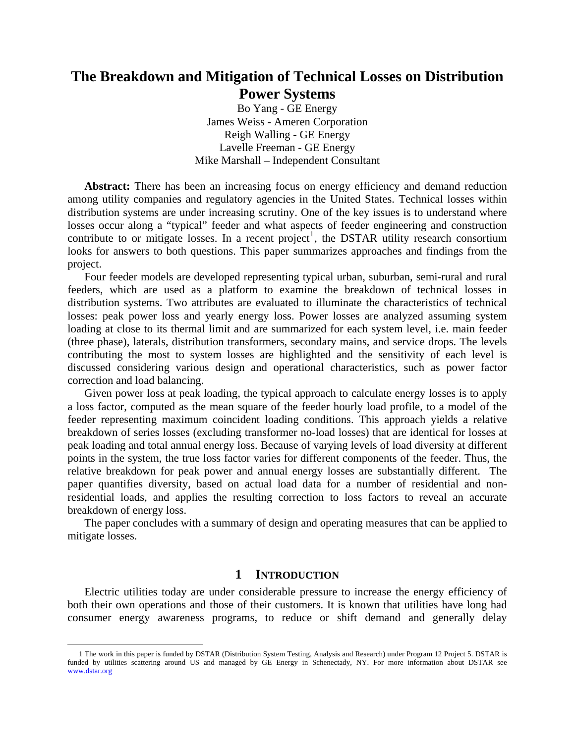# **The Breakdown and Mitigation of Technical Losses on Distribution Power Systems**

Bo Yang - GE Energy James Weiss - Ameren Corporation Reigh Walling - GE Energy Lavelle Freeman - GE Energy Mike Marshall – Independent Consultant

**Abstract:** There has been an increasing focus on energy efficiency and demand reduction among utility companies and regulatory agencies in the United States. Technical losses within distribution systems are under increasing scrutiny. One of the key issues is to understand where losses occur along a "typical" feeder and what aspects of feeder engineering and construction contribute to or mitigate losses. In a recent project<sup>[1](#page-1-0)</sup>, the DSTAR utility research consortium looks for answers to both questions. This paper summarizes approaches and findings from the project.

Four feeder models are developed representing typical urban, suburban, semi-rural and rural feeders, which are used as a platform to examine the breakdown of technical losses in distribution systems. Two attributes are evaluated to illuminate the characteristics of technical losses: peak power loss and yearly energy loss. Power losses are analyzed assuming system loading at close to its thermal limit and are summarized for each system level, i.e. main feeder (three phase), laterals, distribution transformers, secondary mains, and service drops. The levels contributing the most to system losses are highlighted and the sensitivity of each level is discussed considering various design and operational characteristics, such as power factor correction and load balancing.

Given power loss at peak loading, the typical approach to calculate energy losses is to apply a loss factor, computed as the mean square of the feeder hourly load profile, to a model of the feeder representing maximum coincident loading conditions. This approach yields a relative breakdown of series losses (excluding transformer no-load losses) that are identical for losses at peak loading and total annual energy loss. Because of varying levels of load diversity at different points in the system, the true loss factor varies for different components of the feeder. Thus, the relative breakdown for peak power and annual energy losses are substantially different. The paper quantifies diversity, based on actual load data for a number of residential and nonresidential loads, and applies the resulting correction to loss factors to reveal an accurate breakdown of energy loss.

The paper concludes with a summary of design and operating measures that can be applied to mitigate losses.

# **1 INTRODUCTION**

Electric utilities today are under considerable pressure to increase the energy efficiency of both their own operations and those of their customers. It is known that utilities have long had consumer energy awareness programs, to reduce or shift demand and generally delay

<span id="page-1-0"></span> <sup>1</sup> The work in this paper is funded by DSTAR (Distribution System Testing, Analysis and Research) under Program 12 Project 5. DSTAR is funded by utilities scattering around US and managed by GE Energy in Schenectady, NY. For more information about DSTAR see [www.dstar.org](http://www.dstar.org/)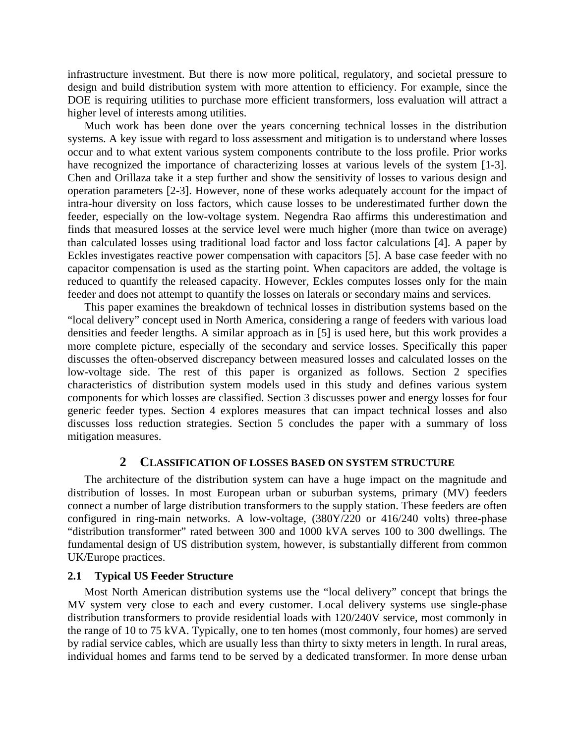infrastructure investment. But there is now more political, regulatory, and societal pressure to design and build distribution system with more attention to efficiency. For example, since the DOE is requiring utilities to purchase more efficient transformers, loss evaluation will attract a higher level of interests among utilities.

Much work has been done over the years concerning technical losses in the distribution systems. A key issue with regard to loss assessment and mitigation is to understand where losses occur and to what extent various system components contribute to the loss profile. Prior works have recognized the importance of characterizing losses at various levels of the system [1-3]. Chen and Orillaza take it a step further and show the sensitivity of losses to various design and operation parameters [2-3]. However, none of these works adequately account for the impact of intra-hour diversity on loss factors, which cause losses to be underestimated further down the feeder, especially on the low-voltage system. Negendra Rao affirms this underestimation and finds that measured losses at the service level were much higher (more than twice on average) than calculated losses using traditional load factor and loss factor calculations [4]. A paper by Eckles investigates reactive power compensation with capacitors [5]. A base case feeder with no capacitor compensation is used as the starting point. When capacitors are added, the voltage is reduced to quantify the released capacity. However, Eckles computes losses only for the main feeder and does not attempt to quantify the losses on laterals or secondary mains and services.

This paper examines the breakdown of technical losses in distribution systems based on the "local delivery" concept used in North America, considering a range of feeders with various load densities and feeder lengths. A similar approach as in [5] is used here, but this work provides a more complete picture, especially of the secondary and service losses. Specifically this paper discusses the often-observed discrepancy between measured losses and calculated losses on the low-voltage side. The rest of this paper is organized as follows. Section 2 specifies characteristics of distribution system models used in this study and defines various system components for which losses are classified. Section 3 discusses power and energy losses for four generic feeder types. Section 4 explores measures that can impact technical losses and also discusses loss reduction strategies. Section 5 concludes the paper with a summary of loss mitigation measures.

## **2 CLASSIFICATION OF LOSSES BASED ON SYSTEM STRUCTURE**

The architecture of the distribution system can have a huge impact on the magnitude and distribution of losses. In most European urban or suburban systems, primary (MV) feeders connect a number of large distribution transformers to the supply station. These feeders are often configured in ring-main networks. A low-voltage, (380Y/220 or 416/240 volts) three-phase "distribution transformer" rated between 300 and 1000 kVA serves 100 to 300 dwellings. The fundamental design of US distribution system, however, is substantially different from common UK/Europe practices.

#### **2.1 Typical US Feeder Structure**

Most North American distribution systems use the "local delivery" concept that brings the MV system very close to each and every customer. Local delivery systems use single-phase distribution transformers to provide residential loads with 120/240V service, most commonly in the range of 10 to 75 kVA. Typically, one to ten homes (most commonly, four homes) are served by radial service cables, which are usually less than thirty to sixty meters in length. In rural areas, individual homes and farms tend to be served by a dedicated transformer. In more dense urban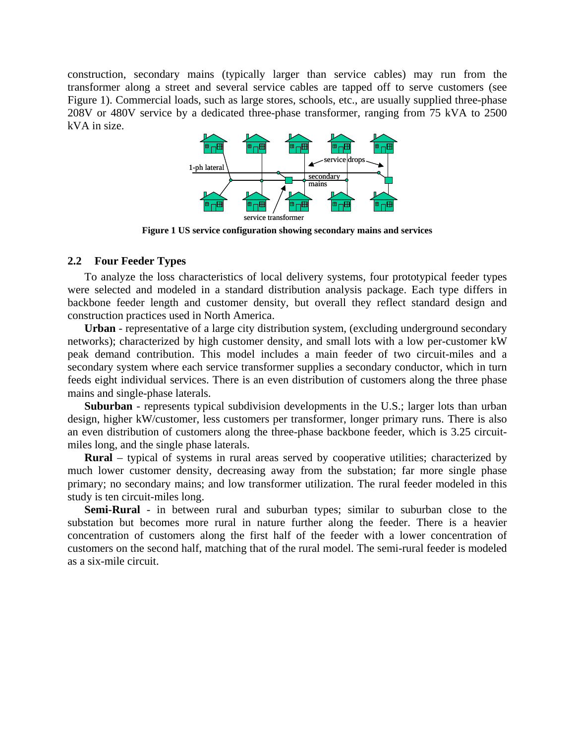construction, secondary mains (typically larger than service cables) may run from the transformer along a street and several service cables are tapped off to serve customers (see Figure 1). Commercial loads, such as large stores, schools, etc., are usually supplied three-phase 208V or 480V service by a dedicated three-phase transformer, ranging from 75 kVA to 2500 kVA in size.



**Figure 1 US service configuration showing secondary mains and services** 

### **2.2 Four Feeder Types**

To analyze the loss characteristics of local delivery systems, four prototypical feeder types were selected and modeled in a standard distribution analysis package. Each type differs in backbone feeder length and customer density, but overall they reflect standard design and construction practices used in North America.

**Urban** - representative of a large city distribution system, (excluding underground secondary networks); characterized by high customer density, and small lots with a low per-customer kW peak demand contribution. This model includes a main feeder of two circuit-miles and a secondary system where each service transformer supplies a secondary conductor, which in turn feeds eight individual services. There is an even distribution of customers along the three phase mains and single-phase laterals.

**Suburban** - represents typical subdivision developments in the U.S.; larger lots than urban design, higher kW/customer, less customers per transformer, longer primary runs. There is also an even distribution of customers along the three-phase backbone feeder, which is 3.25 circuitmiles long, and the single phase laterals.

**Rural** – typical of systems in rural areas served by cooperative utilities; characterized by much lower customer density, decreasing away from the substation; far more single phase primary; no secondary mains; and low transformer utilization. The rural feeder modeled in this study is ten circuit-miles long.

**Semi-Rural** - in between rural and suburban types; similar to suburban close to the substation but becomes more rural in nature further along the feeder. There is a heavier concentration of customers along the first half of the feeder with a lower concentration of customers on the second half, matching that of the rural model. The semi-rural feeder is modeled as a six-mile circuit.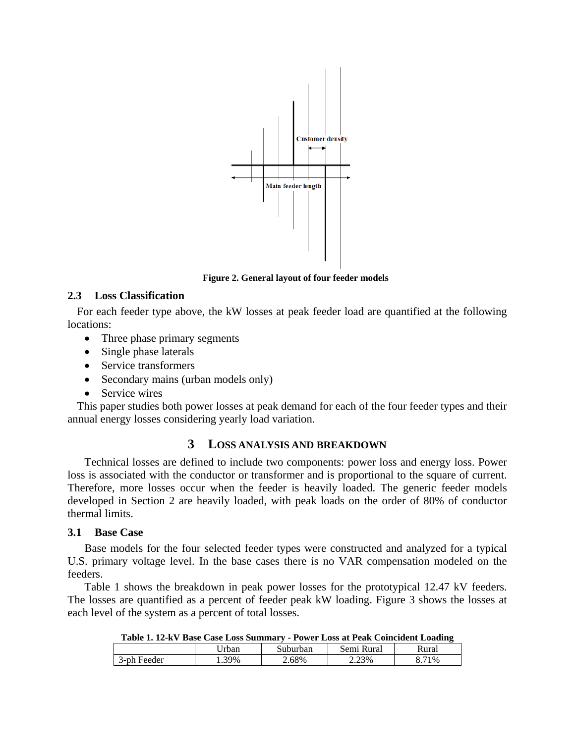

**Figure 2. General layout of four feeder models**

# **2.3 Loss Classification**

For each feeder type above, the kW losses at peak feeder load are quantified at the following locations:

- Three phase primary segments
- Single phase laterals
- Service transformers
- Secondary mains (urban models only)
- Service wires

This paper studies both power losses at peak demand for each of the four feeder types and their annual energy losses considering yearly load variation.

# **3 LOSS ANALYSIS AND BREAKDOWN**

Technical losses are defined to include two components: power loss and energy loss. Power loss is associated with the conductor or transformer and is proportional to the square of current. Therefore, more losses occur when the feeder is heavily loaded. The generic feeder models developed in Section 2 are heavily loaded, with peak loads on the order of 80% of conductor thermal limits.

# **3.1 Base Case**

Base models for the four selected feeder types were constructed and analyzed for a typical U.S. primary voltage level. In the base cases there is no VAR compensation modeled on the feeders.

Table 1 shows the breakdown in peak power losses for the prototypical 12.47 kV feeders. The losses are quantified as a percent of feeder peak kW loading. Figure 3 shows the losses at each level of the system as a percent of total losses.

| тари при призе сазе позводищим г<br>Tower Lloss at I can Comeacht Loughing |       |          |            |       |  |
|----------------------------------------------------------------------------|-------|----------|------------|-------|--|
|                                                                            | Jrban | Suburban | Semi Rural | Rural |  |
| 3-ph Feeder                                                                | . 39% | 2.68%    | 2.23%      | 71%   |  |

**Table 1. 12-kV Base Case Loss Summary - Power Loss at Peak Coincident Loading**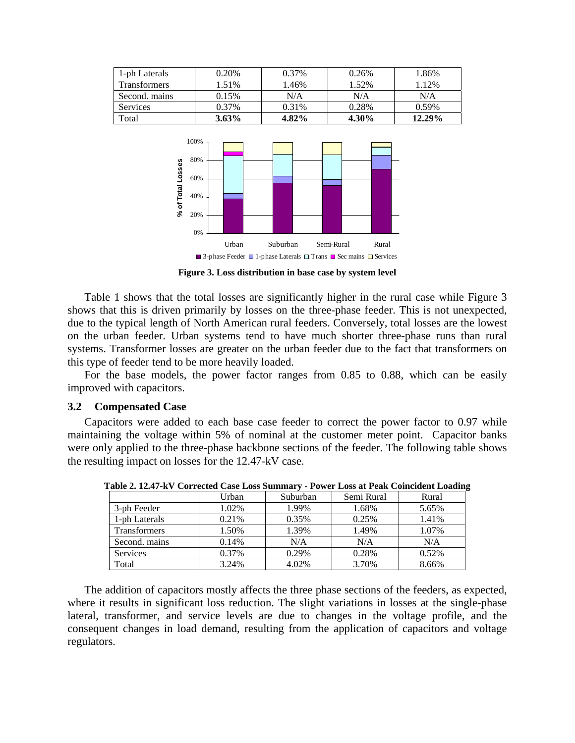| 1-ph Laterals | 0.20%    | 0.37% | 0.26% | 1.86%  |
|---------------|----------|-------|-------|--------|
| Transformers  | 1.51%    | 1.46% | 1.52% | 1.12%  |
| Second. mains | 0.15%    | N/A   | N/A   | N/A    |
| Services      | 0.37%    | 0.31% | 0.28% | 0.59%  |
| Total         | $3.63\%$ | 4.82% | 4.30% | 12.29% |



**Figure 3. Loss distribution in base case by system level** 

Table 1 shows that the total losses are significantly higher in the rural case while Figure 3 shows that this is driven primarily by losses on the three-phase feeder. This is not unexpected, due to the typical length of North American rural feeders. Conversely, total losses are the lowest on the urban feeder. Urban systems tend to have much shorter three-phase runs than rural systems. Transformer losses are greater on the urban feeder due to the fact that transformers on this type of feeder tend to be more heavily loaded.

For the base models, the power factor ranges from 0.85 to 0.88, which can be easily improved with capacitors.

## **3.2 Compensated Case**

Capacitors were added to each base case feeder to correct the power factor to 0.97 while maintaining the voltage within 5% of nominal at the customer meter point. Capacitor banks were only applied to the three-phase backbone sections of the feeder. The following table shows the resulting impact on losses for the 12.47-kV case.

| $\mathbf{1}$ and $\mathbf{2}$ and $\mathbf{3}$ are corrected can host numbers.<br>Tonel Doss at I can comenciue Doughn |          |          |            |       |
|------------------------------------------------------------------------------------------------------------------------|----------|----------|------------|-------|
|                                                                                                                        | Urban    | Suburban | Semi Rural | Rural |
| 3-ph Feeder                                                                                                            | 1.02%    | 1.99%    | 1.68%      | 5.65% |
| 1-ph Laterals                                                                                                          | 0.21%    | 0.35%    | 0.25%      | 1.41% |
| <b>Transformers</b>                                                                                                    | 1.50%    | 1.39%    | 1.49%      | 1.07% |
| Second. mains                                                                                                          | 0.14%    | N/A      | N/A        | N/A   |
| <b>Services</b>                                                                                                        | $0.37\%$ | 0.29%    | 0.28%      | 0.52% |
| Total                                                                                                                  | 3.24%    | 4.02%    | 3.70%      | 8.66% |

**Table 2. 12.47-kV Corrected Case Loss Summary - Power Loss at Peak Coincident Loading** 

The addition of capacitors mostly affects the three phase sections of the feeders, as expected, where it results in significant loss reduction. The slight variations in losses at the single-phase lateral, transformer, and service levels are due to changes in the voltage profile, and the consequent changes in load demand, resulting from the application of capacitors and voltage regulators.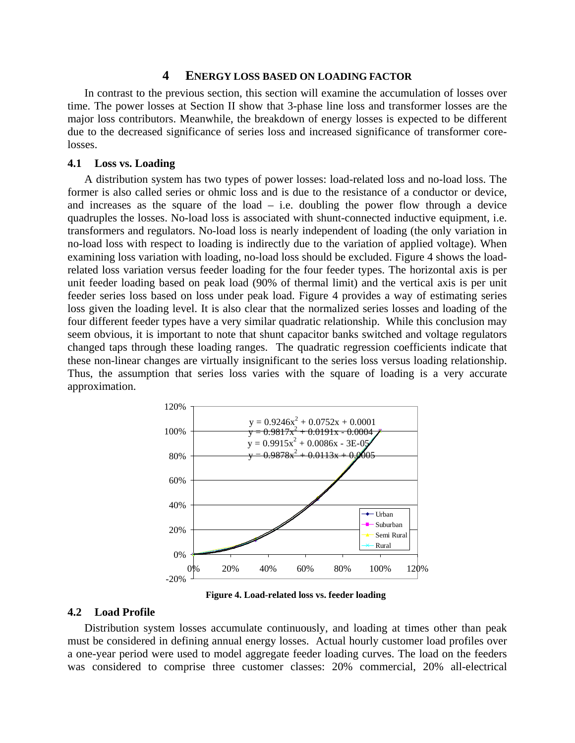## **4 ENERGY LOSS BASED ON LOADING FACTOR**

In contrast to the previous section, this section will examine the accumulation of losses over time. The power losses at Section II show that 3-phase line loss and transformer losses are the major loss contributors. Meanwhile, the breakdown of energy losses is expected to be different due to the decreased significance of series loss and increased significance of transformer corelosses.

#### **4.1 Loss vs. Loading**

A distribution system has two types of power losses: load-related loss and no-load loss. The former is also called series or ohmic loss and is due to the resistance of a conductor or device, and increases as the square of the load  $-$  i.e. doubling the power flow through a device quadruples the losses. No-load loss is associated with shunt-connected inductive equipment, i.e. transformers and regulators. No-load loss is nearly independent of loading (the only variation in no-load loss with respect to loading is indirectly due to the variation of applied voltage). When examining loss variation with loading, no-load loss should be excluded. Figure 4 shows the loadrelated loss variation versus feeder loading for the four feeder types. The horizontal axis is per unit feeder loading based on peak load (90% of thermal limit) and the vertical axis is per unit feeder series loss based on loss under peak load. Figure 4 provides a way of estimating series loss given the loading level. It is also clear that the normalized series losses and loading of the four different feeder types have a very similar quadratic relationship. While this conclusion may seem obvious, it is important to note that shunt capacitor banks switched and voltage regulators changed taps through these loading ranges. The quadratic regression coefficients indicate that these non-linear changes are virtually insignificant to the series loss versus loading relationship. Thus, the assumption that series loss varies with the square of loading is a very accurate approximation.



**Figure 4. Load-related loss vs. feeder loading** 

#### **4.2 Load Profile**

Distribution system losses accumulate continuously, and loading at times other than peak must be considered in defining annual energy losses. Actual hourly customer load profiles over a one-year period were used to model aggregate feeder loading curves. The load on the feeders was considered to comprise three customer classes: 20% commercial, 20% all-electrical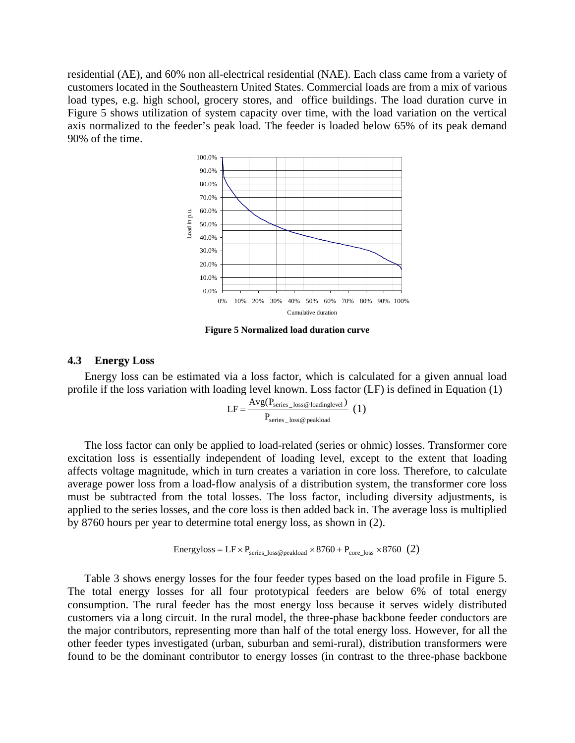residential (AE), and 60% non all-electrical residential (NAE). Each class came from a variety of customers located in the Southeastern United States. Commercial loads are from a mix of various load types, e.g. high school, grocery stores, and office buildings. The load duration curve in Figure 5 shows utilization of system capacity over time, with the load variation on the vertical axis normalized to the feeder's peak load. The feeder is loaded below 65% of its peak demand 90% of the time.



**Figure 5 Normalized load duration curve** 

#### **4.3 Energy Loss**

Energy loss can be estimated via a loss factor, which is calculated for a given annual load profile if the loss variation with loading level known. Loss factor (LF) is defined in Equation (1)

$$
LF = \frac{Avg(P_{series\_loss@loadinglevel})}{P_{series\_loss@peakload}} (1)
$$

The loss factor can only be applied to load-related (series or ohmic) losses. Transformer core excitation loss is essentially independent of loading level, except to the extent that loading affects voltage magnitude, which in turn creates a variation in core loss. Therefore, to calculate average power loss from a load-flow analysis of a distribution system, the transformer core loss must be subtracted from the total losses. The loss factor, including diversity adjustments, is applied to the series losses, and the core loss is then added back in. The average loss is multiplied by 8760 hours per year to determine total energy loss, as shown in (2).

Energyloss = 
$$
LF \times P_{series\_loss@peakload} \times 8760 + P_{core\_loss} \times 8760
$$
 (2)

Table 3 shows energy losses for the four feeder types based on the load profile in Figure 5. The total energy losses for all four prototypical feeders are below 6% of total energy consumption. The rural feeder has the most energy loss because it serves widely distributed customers via a long circuit. In the rural model, the three-phase backbone feeder conductors are the major contributors, representing more than half of the total energy loss. However, for all the other feeder types investigated (urban, suburban and semi-rural), distribution transformers were found to be the dominant contributor to energy losses (in contrast to the three-phase backbone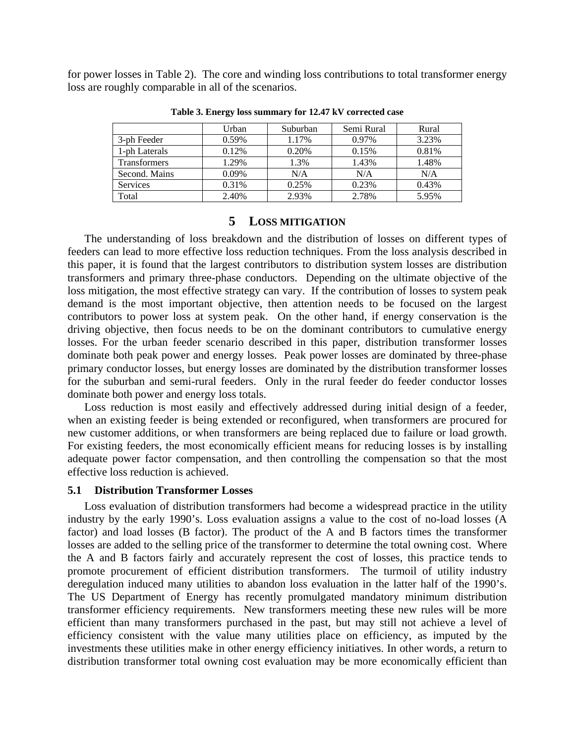for power losses in Table 2). The core and winding loss contributions to total transformer energy loss are roughly comparable in all of the scenarios.

|                     | Urban    | Suburban | Semi Rural | Rural |
|---------------------|----------|----------|------------|-------|
| 3-ph Feeder         | 0.59%    | 1.17%    | $0.97\%$   | 3.23% |
| 1-ph Laterals       | 0.12%    | 0.20%    | 0.15%      | 0.81% |
| <b>Transformers</b> | 1.29%    | 1.3%     | 1.43%      | 1.48% |
| Second. Mains       | $0.09\%$ | N/A      | N/A        | N/A   |
| <b>Services</b>     | 0.31%    | 0.25%    | 0.23%      | 0.43% |
| Total               | 2.40%    | 2.93%    | 2.78%      | 5.95% |

**Table 3. Energy loss summary for 12.47 kV corrected case** 

## **5 LOSS MITIGATION**

The understanding of loss breakdown and the distribution of losses on different types of feeders can lead to more effective loss reduction techniques. From the loss analysis described in this paper, it is found that the largest contributors to distribution system losses are distribution transformers and primary three-phase conductors. Depending on the ultimate objective of the loss mitigation, the most effective strategy can vary. If the contribution of losses to system peak demand is the most important objective, then attention needs to be focused on the largest contributors to power loss at system peak. On the other hand, if energy conservation is the driving objective, then focus needs to be on the dominant contributors to cumulative energy losses. For the urban feeder scenario described in this paper, distribution transformer losses dominate both peak power and energy losses. Peak power losses are dominated by three-phase primary conductor losses, but energy losses are dominated by the distribution transformer losses for the suburban and semi-rural feeders. Only in the rural feeder do feeder conductor losses dominate both power and energy loss totals.

Loss reduction is most easily and effectively addressed during initial design of a feeder, when an existing feeder is being extended or reconfigured, when transformers are procured for new customer additions, or when transformers are being replaced due to failure or load growth. For existing feeders, the most economically efficient means for reducing losses is by installing adequate power factor compensation, and then controlling the compensation so that the most effective loss reduction is achieved.

### **5.1 Distribution Transformer Losses**

Loss evaluation of distribution transformers had become a widespread practice in the utility industry by the early 1990's. Loss evaluation assigns a value to the cost of no-load losses (A factor) and load losses (B factor). The product of the A and B factors times the transformer losses are added to the selling price of the transformer to determine the total owning cost. Where the A and B factors fairly and accurately represent the cost of losses, this practice tends to promote procurement of efficient distribution transformers. The turmoil of utility industry deregulation induced many utilities to abandon loss evaluation in the latter half of the 1990's. The US Department of Energy has recently promulgated mandatory minimum distribution transformer efficiency requirements. New transformers meeting these new rules will be more efficient than many transformers purchased in the past, but may still not achieve a level of efficiency consistent with the value many utilities place on efficiency, as imputed by the investments these utilities make in other energy efficiency initiatives. In other words, a return to distribution transformer total owning cost evaluation may be more economically efficient than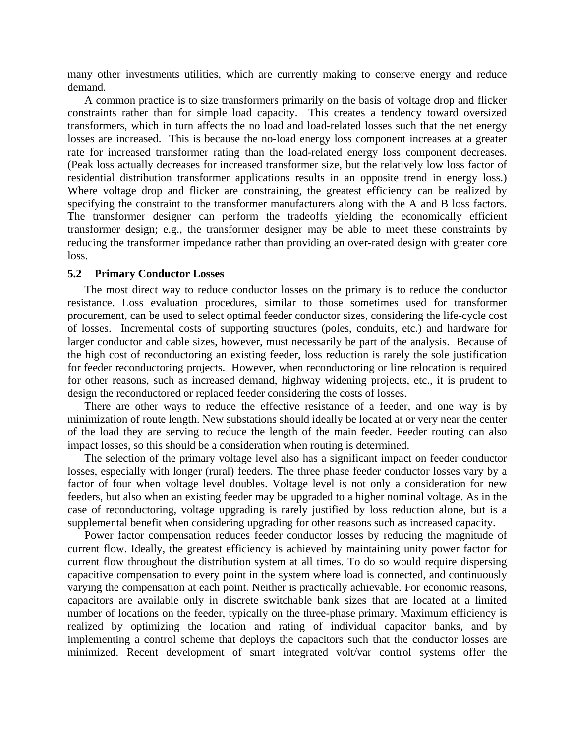many other investments utilities, which are currently making to conserve energy and reduce demand.

A common practice is to size transformers primarily on the basis of voltage drop and flicker constraints rather than for simple load capacity. This creates a tendency toward oversized transformers, which in turn affects the no load and load-related losses such that the net energy losses are increased. This is because the no-load energy loss component increases at a greater rate for increased transformer rating than the load-related energy loss component decreases. (Peak loss actually decreases for increased transformer size, but the relatively low loss factor of residential distribution transformer applications results in an opposite trend in energy loss.) Where voltage drop and flicker are constraining, the greatest efficiency can be realized by specifying the constraint to the transformer manufacturers along with the A and B loss factors. The transformer designer can perform the tradeoffs yielding the economically efficient transformer design; e.g., the transformer designer may be able to meet these constraints by reducing the transformer impedance rather than providing an over-rated design with greater core loss.

#### **5.2 Primary Conductor Losses**

The most direct way to reduce conductor losses on the primary is to reduce the conductor resistance. Loss evaluation procedures, similar to those sometimes used for transformer procurement, can be used to select optimal feeder conductor sizes, considering the life-cycle cost of losses. Incremental costs of supporting structures (poles, conduits, etc.) and hardware for larger conductor and cable sizes, however, must necessarily be part of the analysis. Because of the high cost of reconductoring an existing feeder, loss reduction is rarely the sole justification for feeder reconductoring projects. However, when reconductoring or line relocation is required for other reasons, such as increased demand, highway widening projects, etc., it is prudent to design the reconductored or replaced feeder considering the costs of losses.

There are other ways to reduce the effective resistance of a feeder, and one way is by minimization of route length. New substations should ideally be located at or very near the center of the load they are serving to reduce the length of the main feeder. Feeder routing can also impact losses, so this should be a consideration when routing is determined.

The selection of the primary voltage level also has a significant impact on feeder conductor losses, especially with longer (rural) feeders. The three phase feeder conductor losses vary by a factor of four when voltage level doubles. Voltage level is not only a consideration for new feeders, but also when an existing feeder may be upgraded to a higher nominal voltage. As in the case of reconductoring, voltage upgrading is rarely justified by loss reduction alone, but is a supplemental benefit when considering upgrading for other reasons such as increased capacity.

Power factor compensation reduces feeder conductor losses by reducing the magnitude of current flow. Ideally, the greatest efficiency is achieved by maintaining unity power factor for current flow throughout the distribution system at all times. To do so would require dispersing capacitive compensation to every point in the system where load is connected, and continuously varying the compensation at each point. Neither is practically achievable. For economic reasons, capacitors are available only in discrete switchable bank sizes that are located at a limited number of locations on the feeder, typically on the three-phase primary. Maximum efficiency is realized by optimizing the location and rating of individual capacitor banks, and by implementing a control scheme that deploys the capacitors such that the conductor losses are minimized. Recent development of smart integrated volt/var control systems offer the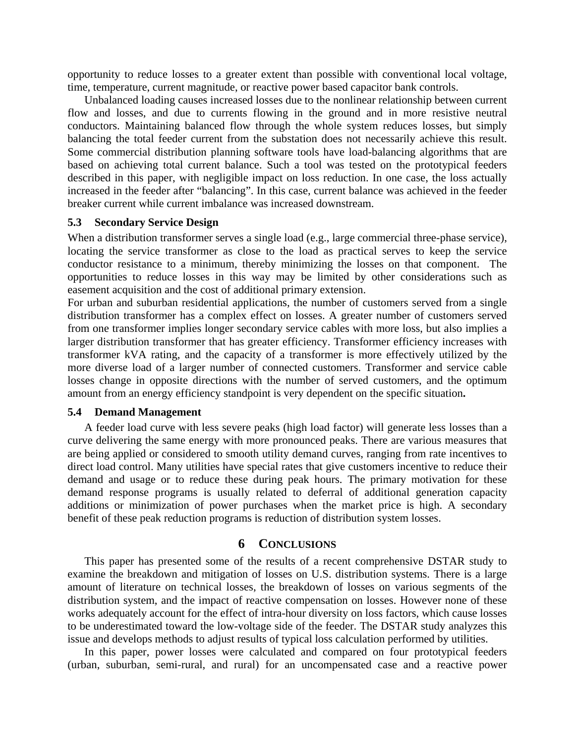opportunity to reduce losses to a greater extent than possible with conventional local voltage, time, temperature, current magnitude, or reactive power based capacitor bank controls.

Unbalanced loading causes increased losses due to the nonlinear relationship between current flow and losses, and due to currents flowing in the ground and in more resistive neutral conductors. Maintaining balanced flow through the whole system reduces losses, but simply balancing the total feeder current from the substation does not necessarily achieve this result. Some commercial distribution planning software tools have load-balancing algorithms that are based on achieving total current balance. Such a tool was tested on the prototypical feeders described in this paper, with negligible impact on loss reduction. In one case, the loss actually increased in the feeder after "balancing". In this case, current balance was achieved in the feeder breaker current while current imbalance was increased downstream.

## **5.3 Secondary Service Design**

When a distribution transformer serves a single load (e.g., large commercial three-phase service), locating the service transformer as close to the load as practical serves to keep the service conductor resistance to a minimum, thereby minimizing the losses on that component. The opportunities to reduce losses in this way may be limited by other considerations such as easement acquisition and the cost of additional primary extension.

For urban and suburban residential applications, the number of customers served from a single distribution transformer has a complex effect on losses. A greater number of customers served from one transformer implies longer secondary service cables with more loss, but also implies a larger distribution transformer that has greater efficiency. Transformer efficiency increases with transformer kVA rating, and the capacity of a transformer is more effectively utilized by the more diverse load of a larger number of connected customers. Transformer and service cable losses change in opposite directions with the number of served customers, and the optimum amount from an energy efficiency standpoint is very dependent on the specific situation**.** 

## **5.4 Demand Management**

A feeder load curve with less severe peaks (high load factor) will generate less losses than a curve delivering the same energy with more pronounced peaks. There are various measures that are being applied or considered to smooth utility demand curves, ranging from rate incentives to direct load control. Many utilities have special rates that give customers incentive to reduce their demand and usage or to reduce these during peak hours. The primary motivation for these demand response programs is usually related to deferral of additional generation capacity additions or minimization of power purchases when the market price is high. A secondary benefit of these peak reduction programs is reduction of distribution system losses.

## **6 CONCLUSIONS**

This paper has presented some of the results of a recent comprehensive DSTAR study to examine the breakdown and mitigation of losses on U.S. distribution systems. There is a large amount of literature on technical losses, the breakdown of losses on various segments of the distribution system, and the impact of reactive compensation on losses. However none of these works adequately account for the effect of intra-hour diversity on loss factors, which cause losses to be underestimated toward the low-voltage side of the feeder. The DSTAR study analyzes this issue and develops methods to adjust results of typical loss calculation performed by utilities.

In this paper, power losses were calculated and compared on four prototypical feeders (urban, suburban, semi-rural, and rural) for an uncompensated case and a reactive power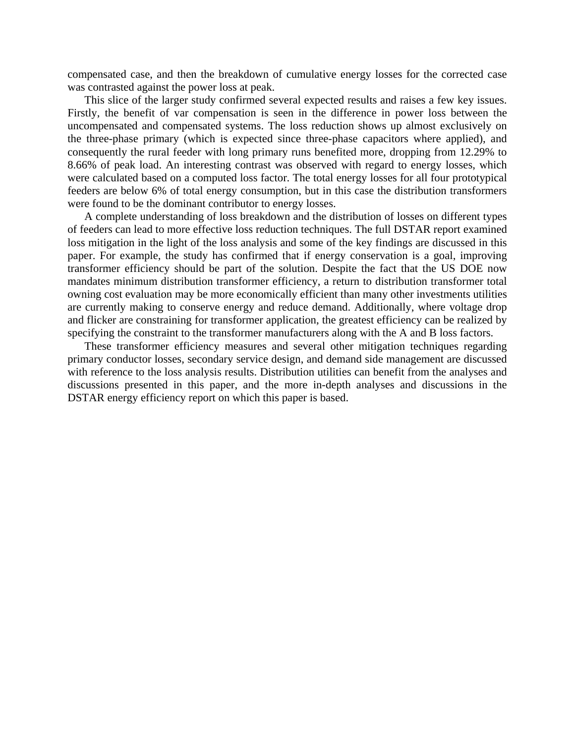compensated case, and then the breakdown of cumulative energy losses for the corrected case was contrasted against the power loss at peak.

This slice of the larger study confirmed several expected results and raises a few key issues. Firstly, the benefit of var compensation is seen in the difference in power loss between the uncompensated and compensated systems. The loss reduction shows up almost exclusively on the three-phase primary (which is expected since three-phase capacitors where applied), and consequently the rural feeder with long primary runs benefited more, dropping from 12.29% to 8.66% of peak load. An interesting contrast was observed with regard to energy losses, which were calculated based on a computed loss factor. The total energy losses for all four prototypical feeders are below 6% of total energy consumption, but in this case the distribution transformers were found to be the dominant contributor to energy losses.

A complete understanding of loss breakdown and the distribution of losses on different types of feeders can lead to more effective loss reduction techniques. The full DSTAR report examined loss mitigation in the light of the loss analysis and some of the key findings are discussed in this paper. For example, the study has confirmed that if energy conservation is a goal, improving transformer efficiency should be part of the solution. Despite the fact that the US DOE now mandates minimum distribution transformer efficiency, a return to distribution transformer total owning cost evaluation may be more economically efficient than many other investments utilities are currently making to conserve energy and reduce demand. Additionally, where voltage drop and flicker are constraining for transformer application, the greatest efficiency can be realized by specifying the constraint to the transformer manufacturers along with the A and B loss factors.

These transformer efficiency measures and several other mitigation techniques regarding primary conductor losses, secondary service design, and demand side management are discussed with reference to the loss analysis results. Distribution utilities can benefit from the analyses and discussions presented in this paper, and the more in-depth analyses and discussions in the DSTAR energy efficiency report on which this paper is based.